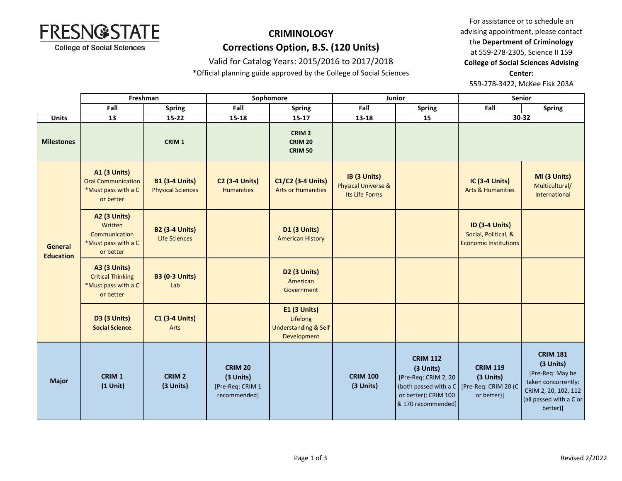

**CRIMINOLOGY Corrections Option, B.S. (120 Units)**

### Valid for Catalog Years: 2015/2016 to 2017/2018

\*Official planning guide approved by the College of Social Sciences

For assistance or to schedule an advising appointment, please contact the **Department of Criminology** at 559-278-2305, Science II 159 **College of Social Sciences Advising Center:**  559-278-3422, McKee Fisk 203A

|                                    | Freshman                                                                             |                                                   | Sophomore                                                       |                                                                                   | Junior                                                           |                                                                                                                                                  | Senior                                                                        |                                                                                                                                        |
|------------------------------------|--------------------------------------------------------------------------------------|---------------------------------------------------|-----------------------------------------------------------------|-----------------------------------------------------------------------------------|------------------------------------------------------------------|--------------------------------------------------------------------------------------------------------------------------------------------------|-------------------------------------------------------------------------------|----------------------------------------------------------------------------------------------------------------------------------------|
|                                    | Fall                                                                                 | <b>Spring</b>                                     | Fall                                                            | <b>Spring</b>                                                                     | Fall                                                             | <b>Spring</b>                                                                                                                                    | Fall                                                                          | <b>Spring</b>                                                                                                                          |
| <b>Units</b>                       | 13                                                                                   | $15 - 22$                                         | 15-18                                                           | $15 - 17$                                                                         | $13 - 18$                                                        | 15                                                                                                                                               |                                                                               | 30-32                                                                                                                                  |
| <b>Milestones</b>                  |                                                                                      | CRIM <sub>1</sub>                                 |                                                                 | CRIM <sub>2</sub><br><b>CRIM 20</b><br><b>CRIM 50</b>                             |                                                                  |                                                                                                                                                  |                                                                               |                                                                                                                                        |
| <b>General</b><br><b>Education</b> | <b>A1 (3 Units)</b><br><b>Oral Communication</b><br>*Must pass with a C<br>or better | <b>B1 (3-4 Units)</b><br><b>Physical Sciences</b> | <b>C2 (3-4 Units)</b><br><b>Humanities</b>                      | C1/C2 (3-4 Units)<br><b>Arts or Humanities</b>                                    | IB (3 Units)<br><b>Physical Universe &amp;</b><br>Its Life Forms |                                                                                                                                                  | IC (3-4 Units)<br><b>Arts &amp; Humanities</b>                                | MI (3 Units)<br>Multicultural/<br>International                                                                                        |
|                                    | <b>A2 (3 Units)</b><br>Written<br>Communication<br>*Must pass with a C<br>or better  | <b>B2 (3-4 Units)</b><br>Life Sciences            |                                                                 | <b>D1 (3 Units)</b><br><b>American History</b>                                    |                                                                  |                                                                                                                                                  | <b>ID (3-4 Units)</b><br>Social, Political, &<br><b>Economic Institutions</b> |                                                                                                                                        |
|                                    | <b>A3 (3 Units)</b><br><b>Critical Thinking</b><br>*Must pass with a C<br>or better  | <b>B3 (0-3 Units)</b><br>Lab                      |                                                                 | D2 (3 Units)<br>American<br>Government                                            |                                                                  |                                                                                                                                                  |                                                                               |                                                                                                                                        |
|                                    | D3 (3 Units)<br><b>Social Science</b>                                                | <b>C1 (3-4 Units)</b><br>Arts                     |                                                                 | <b>E1 (3 Units)</b><br>Lifelong<br><b>Understanding &amp; Self</b><br>Development |                                                                  |                                                                                                                                                  |                                                                               |                                                                                                                                        |
| Major                              | CRIM <sub>1</sub><br>$(1$ Unit)                                                      | CRIM <sub>2</sub><br>(3 Units)                    | <b>CRIM 20</b><br>(3 Units)<br>[Pre-Req: CRIM 1<br>recommended] |                                                                                   | <b>CRIM 100</b><br>(3 Units)                                     | <b>CRIM 112</b><br>(3 Units)<br>[Pre-Req: CRIM 2, 20<br>(both passed with a C [Pre-Req: CRIM 20 (C<br>or better); CRIM 100<br>& 170 recommended] | <b>CRIM 119</b><br>(3 Units)<br>or better)]                                   | <b>CRIM 181</b><br>(3 Units)<br>[Pre-Req: May be<br>taken concurrently:<br>CRIM 2, 20, 102, 112<br>(all passed with a C or<br>better)] |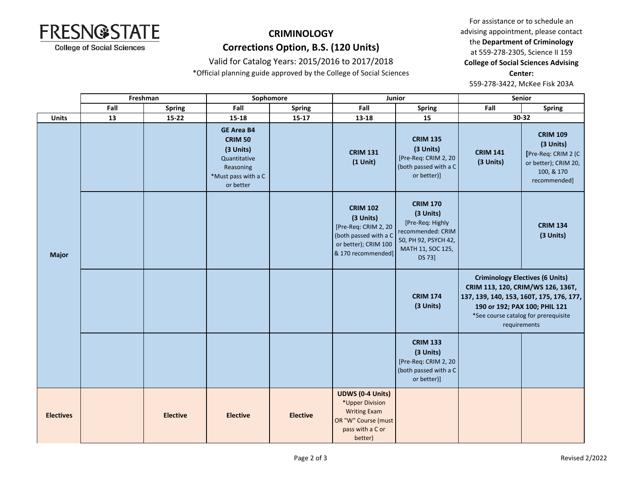

# **CRIMINOLOGY Corrections Option, B.S. (120 Units)**

## Valid for Catalog Years: 2015/2016 to 2017/2018

\*Official planning guide approved by the College of Social Sciences

For assistance or to schedule an advising appointment, please contact the **Department of Criminology** at 559-278-2305, Science II 159 **College of Social Sciences Advising Center:**  559-278-3422, McKee Fisk 203A

|                  | Freshman |                 | Sophomore                                                                                                         |                 | Junior                                                                                                                      |                                                                                                                              | Senior                                                                                                                                                                                                           |                                                                                                           |
|------------------|----------|-----------------|-------------------------------------------------------------------------------------------------------------------|-----------------|-----------------------------------------------------------------------------------------------------------------------------|------------------------------------------------------------------------------------------------------------------------------|------------------------------------------------------------------------------------------------------------------------------------------------------------------------------------------------------------------|-----------------------------------------------------------------------------------------------------------|
|                  | Fall     | <b>Spring</b>   | Fall                                                                                                              | <b>Spring</b>   | Fall                                                                                                                        | <b>Spring</b>                                                                                                                | Fall                                                                                                                                                                                                             | <b>Spring</b>                                                                                             |
| <b>Units</b>     | 13       | $15 - 22$       | 15-18                                                                                                             | $15 - 17$       | 13-18                                                                                                                       | 15                                                                                                                           | 30-32                                                                                                                                                                                                            |                                                                                                           |
| <b>Major</b>     |          |                 | <b>GE Area B4</b><br><b>CRIM 50</b><br>(3 Units)<br>Quantitative<br>Reasoning<br>*Must pass with a C<br>or better |                 | <b>CRIM 131</b><br>$(1$ Unit)                                                                                               | <b>CRIM 135</b><br>(3 Units)<br>[Pre-Req: CRIM 2, 20<br>(both passed with a C<br>or better)]                                 | <b>CRIM 141</b><br>(3 Units)                                                                                                                                                                                     | <b>CRIM 109</b><br>(3 Units)<br>[Pre-Req: CRIM 2 (C<br>or better); CRIM 20,<br>100, & 170<br>recommended] |
|                  |          |                 |                                                                                                                   |                 | <b>CRIM 102</b><br>(3 Units)<br>[Pre-Req: CRIM 2, 20<br>(both passed with a C<br>or better); CRIM 100<br>& 170 recommended] | <b>CRIM 170</b><br>(3 Units)<br>[Pre-Req: Highly<br>recommended: CRIM<br>50, PH 92, PSYCH 42,<br>MATH 11, SOC 125,<br>DS 73] |                                                                                                                                                                                                                  | <b>CRIM 134</b><br>(3 Units)                                                                              |
|                  |          |                 |                                                                                                                   |                 |                                                                                                                             | <b>CRIM 174</b><br>(3 Units)                                                                                                 | <b>Criminology Electives (6 Units)</b><br>CRIM 113, 120, CRIM/WS 126, 136T,<br>137, 139, 140, 153, 160T, 175, 176, 177,<br>190 or 192; PAX 100; PHIL 121<br>*See course catalog for prerequisite<br>requirements |                                                                                                           |
|                  |          |                 |                                                                                                                   |                 |                                                                                                                             | <b>CRIM 133</b><br>(3 Units)<br>[Pre-Req: CRIM 2, 20<br>(both passed with a C<br>or better)]                                 |                                                                                                                                                                                                                  |                                                                                                           |
| <b>Electives</b> |          | <b>Elective</b> | <b>Elective</b>                                                                                                   | <b>Elective</b> | <b>UDWS (0-4 Units)</b><br>*Upper Division<br><b>Writing Exam</b><br>OR "W" Course (must<br>pass with a C or<br>better)     |                                                                                                                              |                                                                                                                                                                                                                  |                                                                                                           |